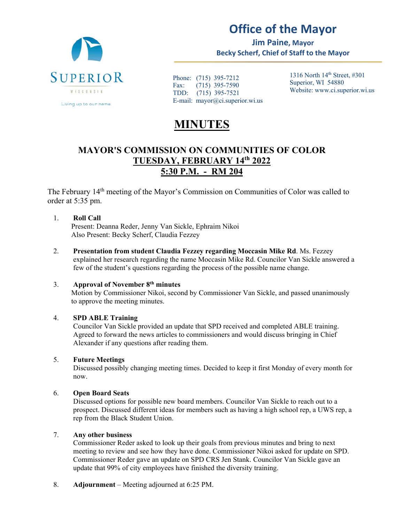

# **Office of the Mayor**

**Jim Paine, Mayor Becky Scherf, Chief of Staff to the Mayor** 

Phone: (715) 395-7212 Fax: (715) 395-7590 TDD: (715) 395-7521 E-mail: mayor@ci.superior.wi.us 1316 North  $14<sup>th</sup>$  Street, #301 Superior, WI 54880 Website: www.ci.superior.wi.us

# **MINUTES**

## **MAYOR'S COMMISSION ON COMMUNITIES OF COLOR TUESDAY, FEBRUARY 14th 2022 5:30 P.M. - RM 204**

The February 14<sup>th</sup> meeting of the Mayor's Commission on Communities of Color was called to order at 5:35 pm.

### 1. **Roll Call**

Present: Deanna Reder, Jenny Van Sickle, Ephraim Nikoi Also Present: Becky Scherf, Claudia Fezzey

2. **Presentation from student Claudia Fezzey regarding Moccasin Mike Rd**. Ms. Fezzey explained her research regarding the name Moccasin Mike Rd. Councilor Van Sickle answered a few of the student's questions regarding the process of the possible name change.

### 3. **Approval of November 8th minutes**

Motion by Commissioner Nikoi, second by Commissioner Van Sickle, and passed unanimously to approve the meeting minutes.

### 4. **SPD ABLE Training**

Councilor Van Sickle provided an update that SPD received and completed ABLE training. Agreed to forward the news articles to commissioners and would discuss bringing in Chief Alexander if any questions after reading them.

### 5. **Future Meetings**

Discussed possibly changing meeting times. Decided to keep it first Monday of every month for now.

### 6. **Open Board Seats**

Discussed options for possible new board members. Councilor Van Sickle to reach out to a prospect. Discussed different ideas for members such as having a high school rep, a UWS rep, a rep from the Black Student Union.

### 7. **Any other business**

Commissioner Reder asked to look up their goals from previous minutes and bring to next meeting to review and see how they have done. Commissioner Nikoi asked for update on SPD. Commissioner Reder gave an update on SPD CRS Jen Stank. Councilor Van Sickle gave an update that 99% of city employees have finished the diversity training.

8. **Adjournment** – Meeting adjourned at 6:25 PM.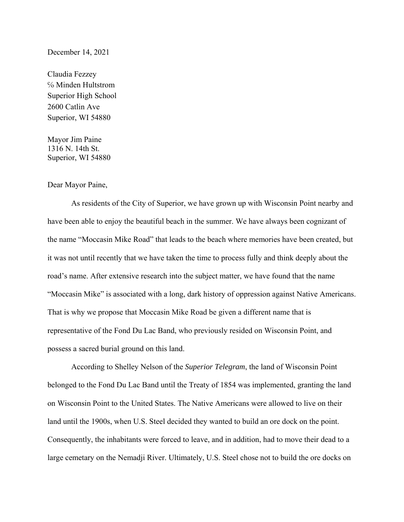#### December 14, 2021

Claudia Fezzey ℅ Minden Hultstrom Superior High School 2600 Catlin Ave Superior, WI 54880

Mayor Jim Paine 1316 N. 14th St. Superior, WI 54880

#### Dear Mayor Paine,

As residents of the City of Superior, we have grown up with Wisconsin Point nearby and have been able to enjoy the beautiful beach in the summer. We have always been cognizant of the name "Moccasin Mike Road" that leads to the beach where memories have been created, but it was not until recently that we have taken the time to process fully and think deeply about the road's name. After extensive research into the subject matter, we have found that the name "Moccasin Mike" is associated with a long, dark history of oppression against Native Americans. That is why we propose that Moccasin Mike Road be given a different name that is representative of the Fond Du Lac Band, who previously resided on Wisconsin Point, and possess a sacred burial ground on this land.

According to Shelley Nelson of the *Superior Telegram*, the land of Wisconsin Point belonged to the Fond Du Lac Band until the Treaty of 1854 was implemented, granting the land on Wisconsin Point to the United States. The Native Americans were allowed to live on their land until the 1900s, when U.S. Steel decided they wanted to build an ore dock on the point. Consequently, the inhabitants were forced to leave, and in addition, had to move their dead to a large cemetary on the Nemadji River. Ultimately, U.S. Steel chose not to build the ore docks on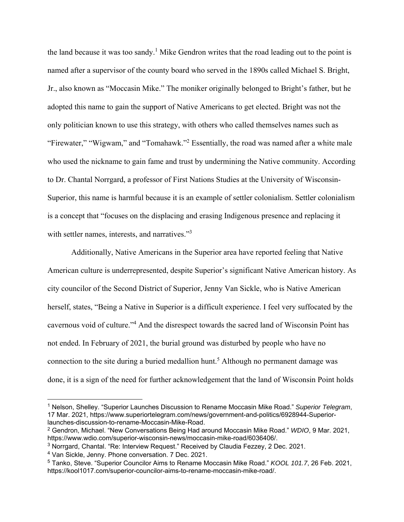the land because it was too sandy.<sup>1</sup> Mike Gendron writes that the road leading out to the point is named after a supervisor of the county board who served in the 1890s called Michael S. Bright, Jr., also known as "Moccasin Mike." The moniker originally belonged to Bright's father, but he adopted this name to gain the support of Native Americans to get elected. Bright was not the only politician known to use this strategy, with others who called themselves names such as "Firewater," "Wigwam," and "Tomahawk."<sup>2</sup> Essentially, the road was named after a white male who used the nickname to gain fame and trust by undermining the Native community. According to Dr. Chantal Norrgard, a professor of First Nations Studies at the University of Wisconsin-Superior, this name is harmful because it is an example of settler colonialism. Settler colonialism is a concept that "focuses on the displacing and erasing Indigenous presence and replacing it with settler names, interests, and narratives."<sup>3</sup>

Additionally, Native Americans in the Superior area have reported feeling that Native American culture is underrepresented, despite Superior's significant Native American history. As city councilor of the Second District of Superior, Jenny Van Sickle, who is Native American herself, states, "Being a Native in Superior is a difficult experience. I feel very suffocated by the cavernous void of culture."<sup>4</sup> And the disrespect towards the sacred land of Wisconsin Point has not ended. In February of 2021, the burial ground was disturbed by people who have no connection to the site during a buried medallion hunt.<sup>5</sup> Although no permanent damage was done, it is a sign of the need for further acknowledgement that the land of Wisconsin Point holds

4 Van Sickle, Jenny. Phone conversation. 7 Dec. 2021.

<sup>1</sup> Nelson, Shelley. "Superior Launches Discussion to Rename Moccasin Mike Road." *Superior Telegram*, 17 Mar. 2021, https://www.superiortelegram.com/news/government-and-politics/6928944-Superiorlaunches-discussion-to-rename-Moccasin-Mike-Road.

<sup>2</sup> Gendron, Michael. "New Conversations Being Had around Moccasin Mike Road." *WDIO*, 9 Mar. 2021, https://www.wdio.com/superior-wisconsin-news/moccasin-mike-road/6036406/.

<sup>3</sup> Norrgard, Chantal. "Re: Interview Request." Received by Claudia Fezzey, 2 Dec. 2021.

<sup>5</sup> Tanko, Steve. "Superior Councilor Aims to Rename Moccasin Mike Road." *KOOL 101.7*, 26 Feb. 2021, https://kool1017.com/superior-councilor-aims-to-rename-moccasin-mike-road/.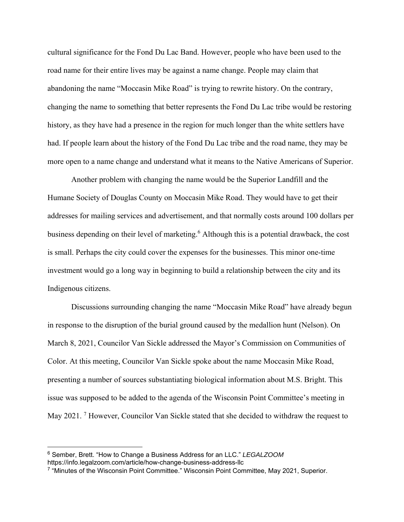cultural significance for the Fond Du Lac Band. However, people who have been used to the road name for their entire lives may be against a name change. People may claim that abandoning the name "Moccasin Mike Road" is trying to rewrite history. On the contrary, changing the name to something that better represents the Fond Du Lac tribe would be restoring history, as they have had a presence in the region for much longer than the white settlers have had. If people learn about the history of the Fond Du Lac tribe and the road name, they may be more open to a name change and understand what it means to the Native Americans of Superior.

Another problem with changing the name would be the Superior Landfill and the Humane Society of Douglas County on Moccasin Mike Road. They would have to get their addresses for mailing services and advertisement, and that normally costs around 100 dollars per business depending on their level of marketing.<sup>6</sup> Although this is a potential drawback, the cost is small. Perhaps the city could cover the expenses for the businesses. This minor one-time investment would go a long way in beginning to build a relationship between the city and its Indigenous citizens.

Discussions surrounding changing the name "Moccasin Mike Road" have already begun in response to the disruption of the burial ground caused by the medallion hunt (Nelson). On March 8, 2021, Councilor Van Sickle addressed the Mayor's Commission on Communities of Color. At this meeting, Councilor Van Sickle spoke about the name Moccasin Mike Road, presenting a number of sources substantiating biological information about M.S. Bright. This issue was supposed to be added to the agenda of the Wisconsin Point Committee's meeting in May 2021.<sup>7</sup> However, Councilor Van Sickle stated that she decided to withdraw the request to

 $\overline{a}$ 

<sup>6</sup> Sember, Brett. "How to Change a Business Address for an LLC." *LEGALZOOM* https://info.legalzoom.com/article/how-change-business-address-llc

<sup>7 &</sup>quot;Minutes of the Wisconsin Point Committee." Wisconsin Point Committee, May 2021, Superior.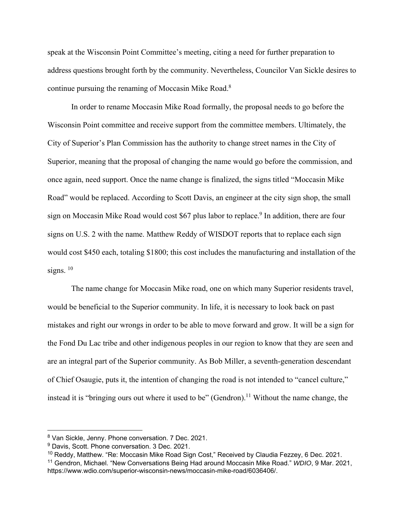speak at the Wisconsin Point Committee's meeting, citing a need for further preparation to address questions brought forth by the community. Nevertheless, Councilor Van Sickle desires to continue pursuing the renaming of Moccasin Mike Road.<sup>8</sup>

In order to rename Moccasin Mike Road formally, the proposal needs to go before the Wisconsin Point committee and receive support from the committee members. Ultimately, the City of Superior's Plan Commission has the authority to change street names in the City of Superior, meaning that the proposal of changing the name would go before the commission, and once again, need support. Once the name change is finalized, the signs titled "Moccasin Mike Road" would be replaced. According to Scott Davis, an engineer at the city sign shop, the small sign on Moccasin Mike Road would cost \$67 plus labor to replace.<sup>9</sup> In addition, there are four signs on U.S. 2 with the name. Matthew Reddy of WISDOT reports that to replace each sign would cost \$450 each, totaling \$1800; this cost includes the manufacturing and installation of the signs.  $10$ 

The name change for Moccasin Mike road, one on which many Superior residents travel, would be beneficial to the Superior community. In life, it is necessary to look back on past mistakes and right our wrongs in order to be able to move forward and grow. It will be a sign for the Fond Du Lac tribe and other indigenous peoples in our region to know that they are seen and are an integral part of the Superior community. As Bob Miller, a seventh-generation descendant of Chief Osaugie, puts it, the intention of changing the road is not intended to "cancel culture," instead it is "bringing ours out where it used to be" (Gendron).<sup>11</sup> Without the name change, the

<sup>8</sup> Van Sickle, Jenny. Phone conversation. 7 Dec. 2021.

<sup>&</sup>lt;sup>9</sup> Davis, Scott. Phone conversation. 3 Dec. 2021.

<sup>&</sup>lt;sup>10</sup> Reddy, Matthew. "Re: Moccasin Mike Road Sign Cost," Received by Claudia Fezzey, 6 Dec. 2021. 11 Gendron, Michael. "New Conversations Being Had around Moccasin Mike Road." *WDIO*, 9 Mar. 2021, https://www.wdio.com/superior-wisconsin-news/moccasin-mike-road/6036406/.